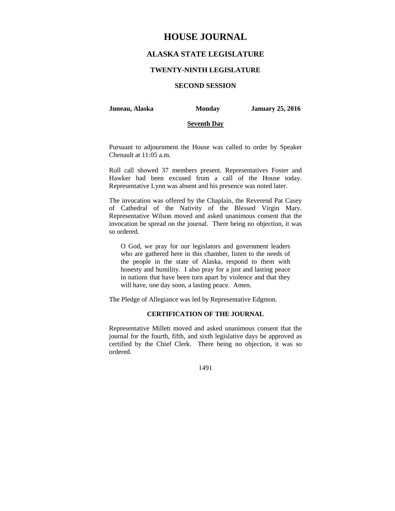# **HOUSE JOURNAL**

## **ALASKA STATE LEGISLATURE**

#### **TWENTY-NINTH LEGISLATURE**

## **SECOND SESSION**

**Juneau, Alaska Monday January 25, 2016** 

#### **Seventh Day**

Pursuant to adjournment the House was called to order by Speaker Chenault at 11:05 a.m.

Roll call showed 37 members present. Representatives Foster and Hawker had been excused from a call of the House today. Representative Lynn was absent and his presence was noted later.

The invocation was offered by the Chaplain, the Reverend Pat Casey of Cathedral of the Nativity of the Blessed Virgin Mary. Representative Wilson moved and asked unanimous consent that the invocation be spread on the journal. There being no objection, it was so ordered.

O God, we pray for our legislators and government leaders who are gathered here in this chamber, listen to the needs of the people in the state of Alaska, respond to them with honesty and humility. I also pray for a just and lasting peace in nations that have been torn apart by violence and that they will have, one day soon, a lasting peace. Amen.

The Pledge of Allegiance was led by Representative Edgmon.

## **CERTIFICATION OF THE JOURNAL**

Representative Millett moved and asked unanimous consent that the journal for the fourth, fifth, and sixth legislative days be approved as certified by the Chief Clerk. There being no objection, it was so ordered.

1491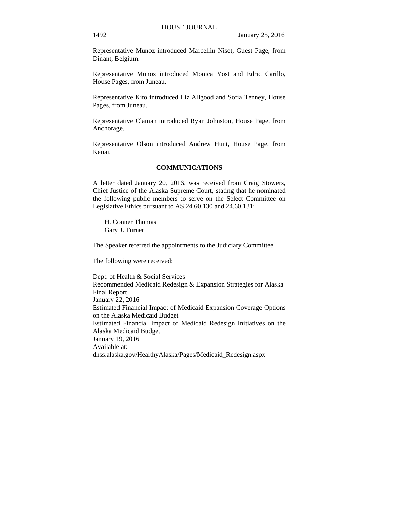Representative Munoz introduced Marcellin Niset, Guest Page, from Dinant, Belgium.

Representative Munoz introduced Monica Yost and Edric Carillo, House Pages, from Juneau.

Representative Kito introduced Liz Allgood and Sofia Tenney, House Pages, from Juneau.

Representative Claman introduced Ryan Johnston, House Page, from Anchorage.

Representative Olson introduced Andrew Hunt, House Page, from Kenai.

## **COMMUNICATIONS**

A letter dated January 20, 2016, was received from Craig Stowers, Chief Justice of the Alaska Supreme Court, stating that he nominated the following public members to serve on the Select Committee on Legislative Ethics pursuant to AS 24.60.130 and 24.60.131:

H. Conner Thomas Gary J. Turner

The Speaker referred the appointments to the Judiciary Committee.

The following were received:

Dept. of Health & Social Services Recommended Medicaid Redesign & Expansion Strategies for Alaska Final Report January 22, 2016 Estimated Financial Impact of Medicaid Expansion Coverage Options on the Alaska Medicaid Budget Estimated Financial Impact of Medicaid Redesign Initiatives on the Alaska Medicaid Budget January 19, 2016 Available at: dhss.alaska.gov/HealthyAlaska/Pages/Medicaid\_Redesign.aspx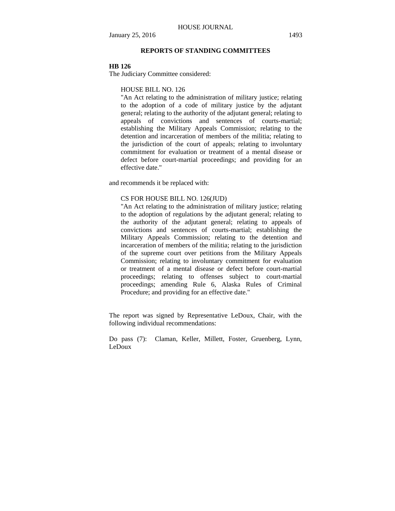## **REPORTS OF STANDING COMMITTEES**

#### **HB 126**

The Judiciary Committee considered:

HOUSE BILL NO. 126

"An Act relating to the administration of military justice; relating to the adoption of a code of military justice by the adjutant general; relating to the authority of the adjutant general; relating to appeals of convictions and sentences of courts-martial; establishing the Military Appeals Commission; relating to the detention and incarceration of members of the militia; relating to the jurisdiction of the court of appeals; relating to involuntary commitment for evaluation or treatment of a mental disease or defect before court-martial proceedings; and providing for an effective date."

and recommends it be replaced with:

#### CS FOR HOUSE BILL NO. 126(JUD)

"An Act relating to the administration of military justice; relating to the adoption of regulations by the adjutant general; relating to the authority of the adjutant general; relating to appeals of convictions and sentences of courts-martial; establishing the Military Appeals Commission; relating to the detention and incarceration of members of the militia; relating to the jurisdiction of the supreme court over petitions from the Military Appeals Commission; relating to involuntary commitment for evaluation or treatment of a mental disease or defect before court-martial proceedings; relating to offenses subject to court-martial proceedings; amending Rule 6, Alaska Rules of Criminal Procedure; and providing for an effective date."

The report was signed by Representative LeDoux, Chair, with the following individual recommendations:

Do pass (7): Claman, Keller, Millett, Foster, Gruenberg, Lynn, LeDoux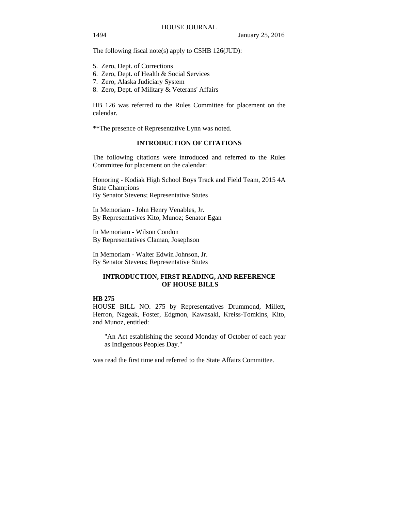The following fiscal note(s) apply to CSHB 126(JUD):

- 5. Zero, Dept. of Corrections
- 6. Zero, Dept. of Health & Social Services
- 7. Zero, Alaska Judiciary System
- 8. Zero, Dept. of Military & Veterans' Affairs

HB 126 was referred to the Rules Committee for placement on the calendar.

\*\*The presence of Representative Lynn was noted.

## **INTRODUCTION OF CITATIONS**

The following citations were introduced and referred to the Rules Committee for placement on the calendar:

Honoring - Kodiak High School Boys Track and Field Team, 2015 4A State Champions By Senator Stevens; Representative Stutes

In Memoriam - John Henry Venables, Jr. By Representatives Kito, Munoz; Senator Egan

In Memoriam - Wilson Condon By Representatives Claman, Josephson

In Memoriam - Walter Edwin Johnson, Jr. By Senator Stevens; Representative Stutes

## **INTRODUCTION, FIRST READING, AND REFERENCE OF HOUSE BILLS**

## **HB 275**

HOUSE BILL NO. 275 by Representatives Drummond, Millett, Herron, Nageak, Foster, Edgmon, Kawasaki, Kreiss-Tomkins, Kito, and Munoz, entitled:

"An Act establishing the second Monday of October of each year as Indigenous Peoples Day."

was read the first time and referred to the State Affairs Committee.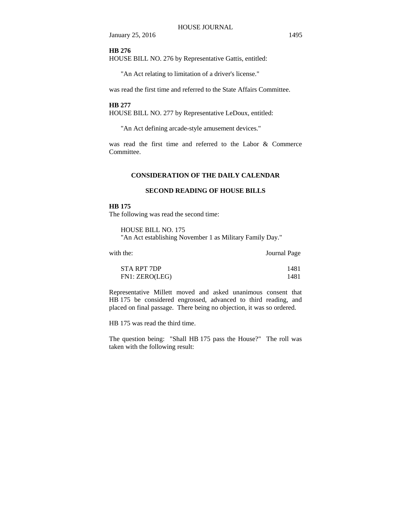#### **HB 276**

HOUSE BILL NO. 276 by Representative Gattis, entitled:

"An Act relating to limitation of a driver's license."

was read the first time and referred to the State Affairs Committee.

#### **HB 277**

HOUSE BILL NO. 277 by Representative LeDoux, entitled:

"An Act defining arcade-style amusement devices."

was read the first time and referred to the Labor & Commerce Committee.

#### **CONSIDERATION OF THE DAILY CALENDAR**

#### **SECOND READING OF HOUSE BILLS**

#### **HB 175**

The following was read the second time:

HOUSE BILL NO. 175 "An Act establishing November 1 as Military Family Day."

with the: **Journal Page** 

| STA RPT 7DP    | 1481 |
|----------------|------|
| FN1: ZERO(LEG) | 1481 |

Representative Millett moved and asked unanimous consent that HB 175 be considered engrossed, advanced to third reading, and placed on final passage. There being no objection, it was so ordered.

HB 175 was read the third time.

The question being: "Shall HB 175 pass the House?" The roll was taken with the following result: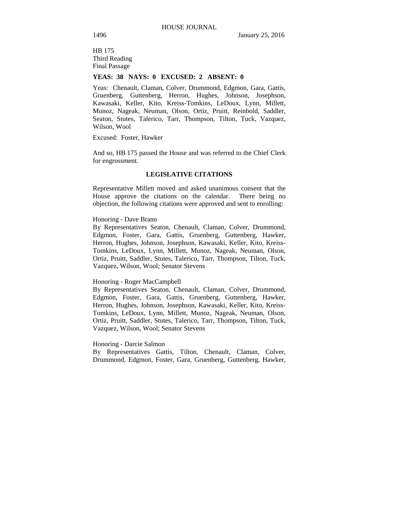HB 175 Third Reading Final Passage

## **YEAS: 38 NAYS: 0 EXCUSED: 2 ABSENT: 0**

Yeas: Chenault, Claman, Colver, Drummond, Edgmon, Gara, Gattis, Gruenberg, Guttenberg, Herron, Hughes, Johnson, Josephson, Kawasaki, Keller, Kito, Kreiss-Tomkins, LeDoux, Lynn, Millett, Munoz, Nageak, Neuman, Olson, Ortiz, Pruitt, Reinbold, Saddler, Seaton, Stutes, Talerico, Tarr, Thompson, Tilton, Tuck, Vazquez, Wilson, Wool

Excused: Foster, Hawker

And so, HB 175 passed the House and was referred to the Chief Clerk for engrossment.

## **LEGISLATIVE CITATIONS**

Representative Millett moved and asked unanimous consent that the House approve the citations on the calendar. There being no objection, the following citations were approved and sent to enrolling:

#### Honoring - Dave Brann

By Representatives Seaton, Chenault, Claman, Colver, Drummond, Edgmon, Foster, Gara, Gattis, Gruenberg, Guttenberg, Hawker, Herron, Hughes, Johnson, Josephson, Kawasaki, Keller, Kito, Kreiss-Tomkins, LeDoux, Lynn, Millett, Munoz, Nageak, Neuman, Olson, Ortiz, Pruitt, Saddler, Stutes, Talerico, Tarr, Thompson, Tilton, Tuck, Vazquez, Wilson, Wool; Senator Stevens

#### Honoring - Roger MacCampbell

By Representatives Seaton, Chenault, Claman, Colver, Drummond, Edgmon, Foster, Gara, Gattis, Gruenberg, Guttenberg, Hawker, Herron, Hughes, Johnson, Josephson, Kawasaki, Keller, Kito, Kreiss-Tomkins, LeDoux, Lynn, Millett, Munoz, Nageak, Neuman, Olson, Ortiz, Pruitt, Saddler, Stutes, Talerico, Tarr, Thompson, Tilton, Tuck, Vazquez, Wilson, Wool; Senator Stevens

#### Honoring - Darcie Salmon

By Representatives Gattis, Tilton, Chenault, Claman, Colver, Drummond, Edgmon, Foster, Gara, Gruenberg, Guttenberg, Hawker,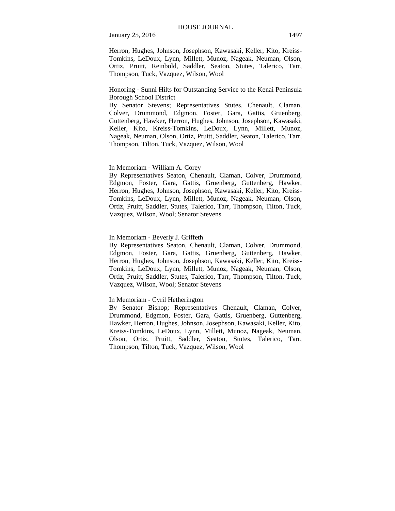Herron, Hughes, Johnson, Josephson, Kawasaki, Keller, Kito, Kreiss-Tomkins, LeDoux, Lynn, Millett, Munoz, Nageak, Neuman, Olson, Ortiz, Pruitt, Reinbold, Saddler, Seaton, Stutes, Talerico, Tarr, Thompson, Tuck, Vazquez, Wilson, Wool

Honoring - Sunni Hilts for Outstanding Service to the Kenai Peninsula Borough School District

By Senator Stevens; Representatives Stutes, Chenault, Claman, Colver, Drummond, Edgmon, Foster, Gara, Gattis, Gruenberg, Guttenberg, Hawker, Herron, Hughes, Johnson, Josephson, Kawasaki, Keller, Kito, Kreiss-Tomkins, LeDoux, Lynn, Millett, Munoz, Nageak, Neuman, Olson, Ortiz, Pruitt, Saddler, Seaton, Talerico, Tarr, Thompson, Tilton, Tuck, Vazquez, Wilson, Wool

#### In Memoriam - William A. Corey

By Representatives Seaton, Chenault, Claman, Colver, Drummond, Edgmon, Foster, Gara, Gattis, Gruenberg, Guttenberg, Hawker, Herron, Hughes, Johnson, Josephson, Kawasaki, Keller, Kito, Kreiss-Tomkins, LeDoux, Lynn, Millett, Munoz, Nageak, Neuman, Olson, Ortiz, Pruitt, Saddler, Stutes, Talerico, Tarr, Thompson, Tilton, Tuck, Vazquez, Wilson, Wool; Senator Stevens

In Memoriam - Beverly J. Griffeth

By Representatives Seaton, Chenault, Claman, Colver, Drummond, Edgmon, Foster, Gara, Gattis, Gruenberg, Guttenberg, Hawker, Herron, Hughes, Johnson, Josephson, Kawasaki, Keller, Kito, Kreiss-Tomkins, LeDoux, Lynn, Millett, Munoz, Nageak, Neuman, Olson, Ortiz, Pruitt, Saddler, Stutes, Talerico, Tarr, Thompson, Tilton, Tuck, Vazquez, Wilson, Wool; Senator Stevens

#### In Memoriam - Cyril Hetherington

By Senator Bishop; Representatives Chenault, Claman, Colver, Drummond, Edgmon, Foster, Gara, Gattis, Gruenberg, Guttenberg, Hawker, Herron, Hughes, Johnson, Josephson, Kawasaki, Keller, Kito, Kreiss-Tomkins, LeDoux, Lynn, Millett, Munoz, Nageak, Neuman, Olson, Ortiz, Pruitt, Saddler, Seaton, Stutes, Talerico, Tarr, Thompson, Tilton, Tuck, Vazquez, Wilson, Wool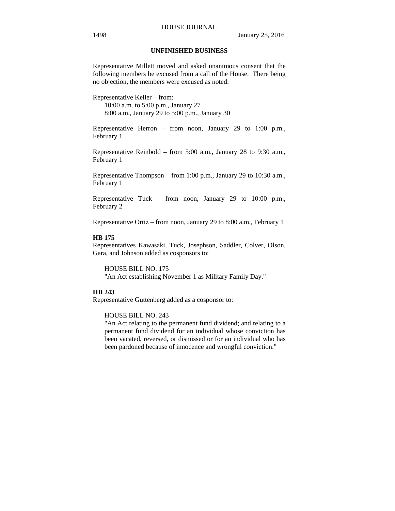#### **UNFINISHED BUSINESS**

Representative Millett moved and asked unanimous consent that the following members be excused from a call of the House. There being no objection, the members were excused as noted:

Representative Keller – from: 10:00 a.m. to 5:00 p.m., January 27 8:00 a.m., January 29 to 5:00 p.m., January 30

Representative Herron – from noon, January 29 to 1:00 p.m., February 1

Representative Reinbold – from 5:00 a.m., January 28 to 9:30 a.m., February 1

Representative Thompson – from 1:00 p.m., January 29 to 10:30 a.m., February 1

Representative Tuck – from noon, January 29 to 10:00 p.m., February 2

Representative Ortiz – from noon, January 29 to 8:00 a.m., February 1

## **HB 175**

Representatives Kawasaki, Tuck, Josephson, Saddler, Colver, Olson, Gara, and Johnson added as cosponsors to:

HOUSE BILL NO. 175 "An Act establishing November 1 as Military Family Day."

## **HB 243**

Representative Guttenberg added as a cosponsor to:

## HOUSE BILL NO. 243

"An Act relating to the permanent fund dividend; and relating to a permanent fund dividend for an individual whose conviction has been vacated, reversed, or dismissed or for an individual who has been pardoned because of innocence and wrongful conviction."